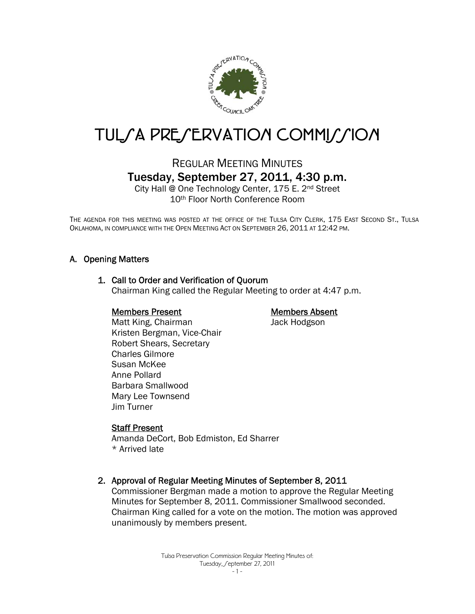

# TUL/A PRE/ERVATION COMMI//ION

# REGULAR MEETING MINUTES Tuesday, September 27, 2011, 4:30 p.m.

City Hall @ One Technology Center, 175 E. 2nd Street 10th Floor North Conference Room

THE AGENDA FOR THIS MEETING WAS POSTED AT THE OFFICE OF THE TULSA CITY CLERK, 175 EAST SECOND ST., TULSA OKLAHOMA, IN COMPLIANCE WITH THE OPEN MEETING ACT ON SEPTEMBER 26, 2011 AT 12:42 PM.

# A. Opening Matters

#### 1. Call to Order and Verification of Quorum

Chairman King called the Regular Meeting to order at 4:47 p.m.

#### Members Present

#### Members Absent

Jack Hodgson

 Matt King, Chairman Kristen Bergman, Vice-Chair Robert Shears, Secretary Charles Gilmore Susan McKee Anne Pollard Barbara Smallwood Mary Lee Townsend Jim Turner

#### Staff Present

Amanda DeCort, Bob Edmiston, Ed Sharrer \* Arrived late

#### 2. Approval of Regular Meeting Minutes of September 8, 2011

Commissioner Bergman made a motion to approve the Regular Meeting Minutes for September 8, 2011. Commissioner Smallwood seconded. Chairman King called for a vote on the motion. The motion was approved unanimously by members present.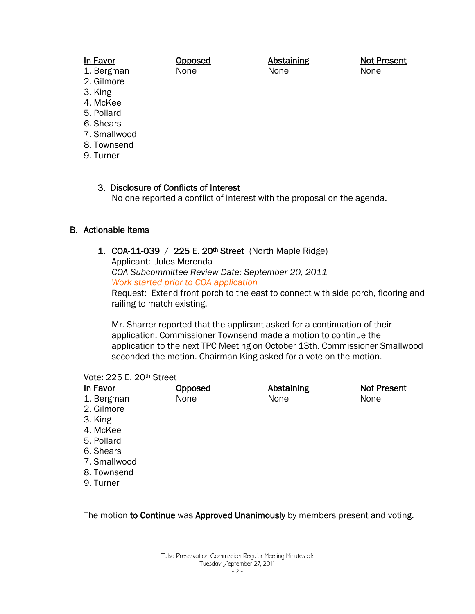#### In Favor

Opposed None

Abstaining None

Not Present None

- 1. Bergman 2. Gilmore
- 3. King
- 4. McKee
- 5. Pollard
- 6. Shears
- 7. Smallwood
- 8. Townsend
- 9. Turner

3. Disclosure of Conflicts of Interest No one reported a conflict of interest with the proposal on the agenda.

# B. Actionable Items

1. COA-11-039 / 225 E. 20<sup>th</sup> Street (North Maple Ridge)

Applicant: Jules Merenda

*COA Subcommittee Review Date: September 20, 2011* 

*Work started prior to COA application*

Request: Extend front porch to the east to connect with side porch, flooring and railing to match existing.

Mr. Sharrer reported that the applicant asked for a continuation of their application. Commissioner Townsend made a motion to continue the application to the next TPC Meeting on October 13th. Commissioner Smallwood seconded the motion. Chairman King asked for a vote on the motion.

#### Vote: 225 E. 20th Street

| In Favor     | <b>Opposed</b> | <b>Abstaining</b> | <b>Not Present</b> |
|--------------|----------------|-------------------|--------------------|
| 1. Bergman   | None           | None              | None               |
| 2. Gilmore   |                |                   |                    |
| 3. King      |                |                   |                    |
| 4. McKee     |                |                   |                    |
| 5. Pollard   |                |                   |                    |
| 6. Shears    |                |                   |                    |
| 7. Smallwood |                |                   |                    |
| 8. Townsend  |                |                   |                    |
| 9. Turner    |                |                   |                    |

The motion to Continue was Approved Unanimously by members present and voting.